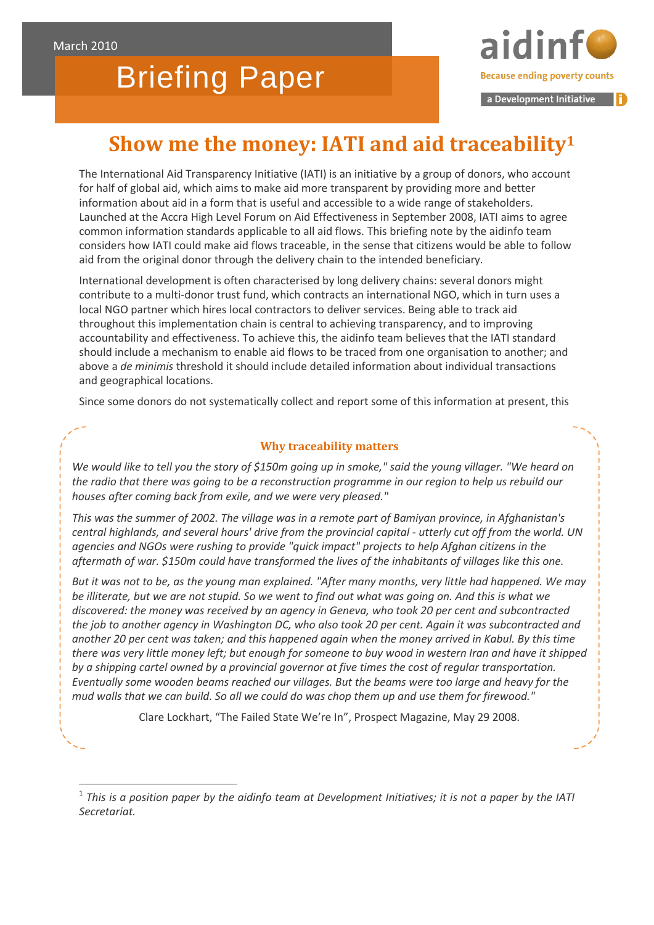-

# Briefing Paper

**Because ending poverty counts** 

a Development Initiative

# **Show me the money: IATI and aid traceability1**

The International Aid Transparency Initiative (IATI) is an initiative by a group of donors, who account for half of global aid, which aims to make aid more transparent by providing more and better information about aid in a form that is useful and accessible to a wide range of stakeholders. Launched at the Accra High Level Forum on Aid Effectiveness in September 2008, IATI aims to agree common information standards applicable to all aid flows. This briefing note by the aidinfo team considers how IATI could make aid flows traceable, in the sense that citizens would be able to follow aid from the original donor through the delivery chain to the intended beneficiary.

International development is often characterised by long delivery chains: several donors might contribute to a multi-donor trust fund, which contracts an international NGO, which in turn uses a local NGO partner which hires local contractors to deliver services. Being able to track aid throughout this implementation chain is central to achieving transparency, and to improving accountability and effectiveness. To achieve this, the aidinfo team believes that the IATI standard should include a mechanism to enable aid flows to be traced from one organisation to another; and above a *de minimis* threshold it should include detailed information about individual transactions and geographical locations.

Since some donors do not systematically collect and report some of this information at present, this

### **Why traceability matters**

*We would like to tell you the story of \$150m going up in smoke," said the young villager. "We heard on the radio that there was going to be a reconstruction programme in our region to help us rebuild our houses after coming back from exile, and we were very pleased."*

*This was the summer of 2002. The village was in a remote part of Bamiyan province, in Afghanistan's central highlands, and several hours' drive from the provincial capital - utterly cut off from the world. UN agencies and NGOs were rushing to provide "quick impact" projects to help Afghan citizens in the aftermath of war. \$150m could have transformed the lives of the inhabitants of villages like this one.*

*But it was not to be, as the young man explained. "After many months, very little had happened. We may be illiterate, but we are not stupid. So we went to find out what was going on. And this is what we discovered: the money was received by an agency in Geneva, who took 20 per cent and subcontracted the job to another agency in Washington DC, who also took 20 per cent. Again it was subcontracted and another 20 per cent was taken; and this happened again when the money arrived in Kabul. By this time there was very little money left; but enough for someone to buy wood in western Iran and have it shipped by a shipping cartel owned by a provincial governor at five times the cost of regular transportation. Eventually some wooden beams reached our villages. But the beams were too large and heavy for the mud walls that we can build. So all we could do was chop them up and use them for firewood."*

Clare Lockhart, "The Failed State We're In", Prospect Magazine, May 29 2008*.*

<sup>1</sup> *This is a position paper by the aidinfo team at Development Initiatives; it is not a paper by the IATI Secretariat.*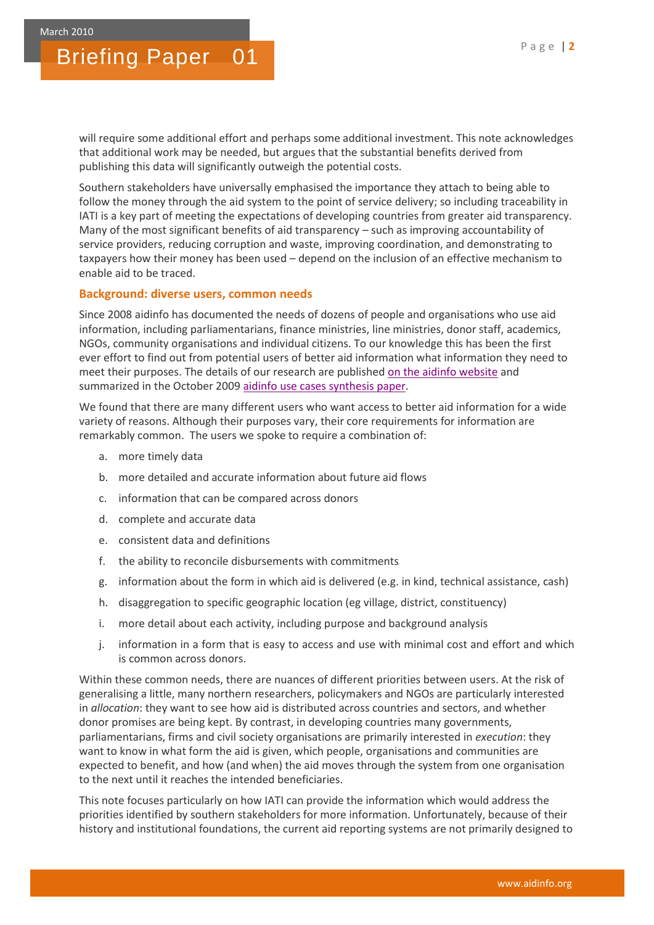will require some additional effort and perhaps some additional investment. This note acknowledges that additional work may be needed, but argues that the substantial benefits derived from publishing this data will significantly outweigh the potential costs.

Southern stakeholders have universally emphasised the importance they attach to being able to follow the money through the aid system to the point of service delivery; so including traceability in IATI is a key part of meeting the expectations of developing countries from greater aid transparency. Many of the most significant benefits of aid transparency – such as improving accountability of service providers, reducing corruption and waste, improving coordination, and demonstrating to taxpayers how their money has been used – depend on the inclusion of an effective mechanism to enable aid to be traced.

#### **Background: diverse users, common needs**

Since 2008 aidinfo has documented the needs of dozens of people and organisations who use aid information, including parliamentarians, finance ministries, line ministries, donor staff, academics, NGOs, community organisations and individual citizens. To our knowledge this has been the first ever effort to find out from potential users of better aid information what information they need to meet their purposes. The details of our research are published [on the aidinfo website](http://www.aidinfo.org/case-studies) and summarized in the October 2009 [aidinfo use cases synthesis paper.](http://www.aidinfo.org/files/aidinfo-use-case-synthesis-paper.pdf)

We found that there are many different users who want access to better aid information for a wide variety of reasons. Although their purposes vary, their core requirements for information are remarkably common. The users we spoke to require a combination of:

- a. more timely data
- b. more detailed and accurate information about future aid flows
- c. information that can be compared across donors
- d. complete and accurate data
- e. consistent data and definitions
- f. the ability to reconcile disbursements with commitments
- g. information about the form in which aid is delivered (e.g. in kind, technical assistance, cash)
- h. disaggregation to specific geographic location (eg village, district, constituency)
- i. more detail about each activity, including purpose and background analysis
- j. information in a form that is easy to access and use with minimal cost and effort and which is common across donors.

Within these common needs, there are nuances of different priorities between users. At the risk of generalising a little, many northern researchers, policymakers and NGOs are particularly interested in *allocation*: they want to see how aid is distributed across countries and sectors, and whether donor promises are being kept. By contrast, in developing countries many governments, parliamentarians, firms and civil society organisations are primarily interested in *execution*: they want to know in what form the aid is given, which people, organisations and communities are expected to benefit, and how (and when) the aid moves through the system from one organisation to the next until it reaches the intended beneficiaries.

This note focuses particularly on how IATI can provide the information which would address the priorities identified by southern stakeholders for more information. Unfortunately, because of their history and institutional foundations, the current aid reporting systems are not primarily designed to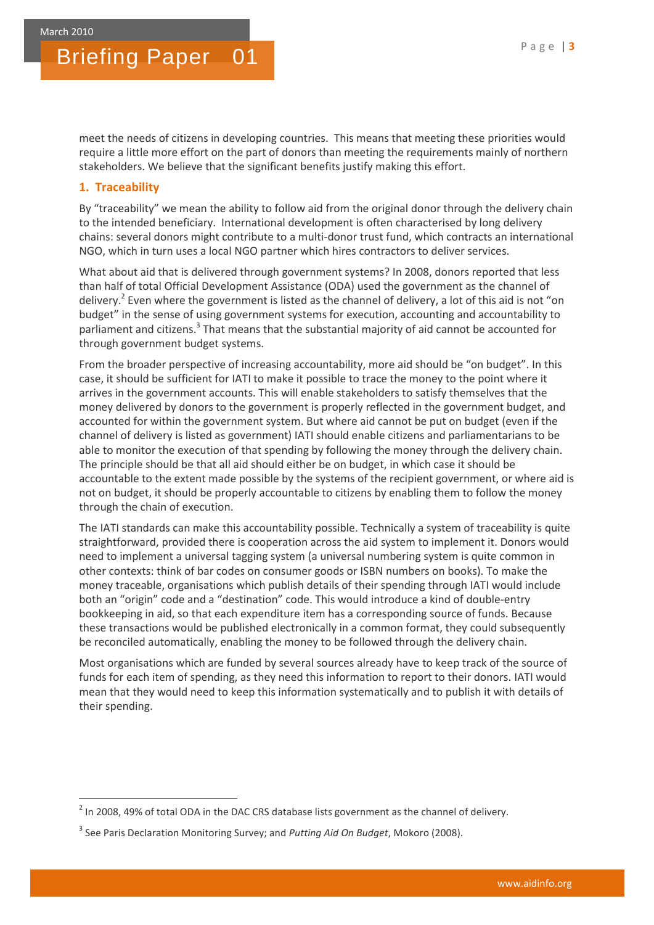meet the needs of citizens in developing countries. This means that meeting these priorities would require a little more effort on the part of donors than meeting the requirements mainly of northern stakeholders. We believe that the significant benefits justify making this effort.

#### **1. Traceability**

**.** 

By "traceability" we mean the ability to follow aid from the original donor through the delivery chain to the intended beneficiary. International development is often characterised by long delivery chains: several donors might contribute to a multi-donor trust fund, which contracts an international NGO, which in turn uses a local NGO partner which hires contractors to deliver services.

What about aid that is delivered through government systems? In 2008, donors reported that less than half of total Official Development Assistance (ODA) used the government as the channel of delivery.<sup>2</sup> Even where the government is listed as the channel of delivery, a lot of this aid is not "on budget" in the sense of using government systems for execution, accounting and accountability to parliament and citizens.<sup>3</sup> That means that the substantial majority of aid cannot be accounted for through government budget systems.

From the broader perspective of increasing accountability, more aid should be "on budget". In this case, it should be sufficient for IATI to make it possible to trace the money to the point where it arrives in the government accounts. This will enable stakeholders to satisfy themselves that the money delivered by donors to the government is properly reflected in the government budget, and accounted for within the government system. But where aid cannot be put on budget (even if the channel of delivery is listed as government) IATI should enable citizens and parliamentarians to be able to monitor the execution of that spending by following the money through the delivery chain. The principle should be that all aid should either be on budget, in which case it should be accountable to the extent made possible by the systems of the recipient government, or where aid is not on budget, it should be properly accountable to citizens by enabling them to follow the money through the chain of execution.

The IATI standards can make this accountability possible. Technically a system of traceability is quite straightforward, provided there is cooperation across the aid system to implement it. Donors would need to implement a universal tagging system (a universal numbering system is quite common in other contexts: think of bar codes on consumer goods or ISBN numbers on books). To make the money traceable, organisations which publish details of their spending through IATI would include both an "origin" code and a "destination" code. This would introduce a kind of double-entry bookkeeping in aid, so that each expenditure item has a corresponding source of funds. Because these transactions would be published electronically in a common format, they could subsequently be reconciled automatically, enabling the money to be followed through the delivery chain.

Most organisations which are funded by several sources already have to keep track of the source of funds for each item of spending, as they need this information to report to their donors. IATI would mean that they would need to keep this information systematically and to publish it with details of their spending.

 $2$  In 2008, 49% of total ODA in the DAC CRS database lists government as the channel of delivery.

<sup>3</sup> See Paris Declaration Monitoring Survey; and *Putting Aid On Budget*, Mokoro (2008).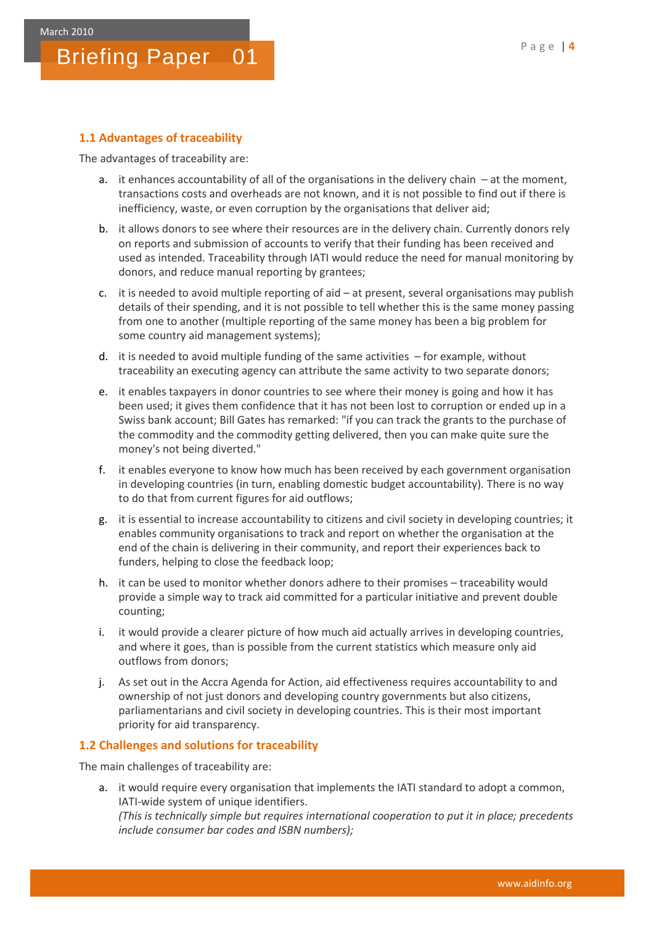#### **1.1 Advantages of traceability**

The advantages of traceability are:

- a. it enhances accountability of all of the organisations in the delivery chain  $-$  at the moment, transactions costs and overheads are not known, and it is not possible to find out if there is inefficiency, waste, or even corruption by the organisations that deliver aid;
- b. it allows donors to see where their resources are in the delivery chain. Currently donors rely on reports and submission of accounts to verify that their funding has been received and used as intended. Traceability through IATI would reduce the need for manual monitoring by donors, and reduce manual reporting by grantees;
- c. it is needed to avoid multiple reporting of aid at present, several organisations may publish details of their spending, and it is not possible to tell whether this is the same money passing from one to another (multiple reporting of the same money has been a big problem for some country aid management systems);
- d. it is needed to avoid multiple funding of the same activities for example, without traceability an executing agency can attribute the same activity to two separate donors;
- e. it enables taxpayers in donor countries to see where their money is going and how it has been used; it gives them confidence that it has not been lost to corruption or ended up in a Swiss bank account; Bill Gates has remarked: "if you can track the grants to the purchase of the commodity and the commodity getting delivered, then you can make quite sure the money's not being diverted."
- f. it enables everyone to know how much has been received by each government organisation in developing countries (in turn, enabling domestic budget accountability). There is no way to do that from current figures for aid outflows;
- g. it is essential to increase accountability to citizens and civil society in developing countries; it enables community organisations to track and report on whether the organisation at the end of the chain is delivering in their community, and report their experiences back to funders, helping to close the feedback loop;
- h. it can be used to monitor whether donors adhere to their promises traceability would provide a simple way to track aid committed for a particular initiative and prevent double counting;
- i. it would provide a clearer picture of how much aid actually arrives in developing countries, and where it goes, than is possible from the current statistics which measure only aid outflows from donors;
- j. As set out in the Accra Agenda for Action, aid effectiveness requires accountability to and ownership of not just donors and developing country governments but also citizens, parliamentarians and civil society in developing countries. This is their most important priority for aid transparency.

#### **1.2 Challenges and solutions for traceability**

The main challenges of traceability are:

a. it would require every organisation that implements the IATI standard to adopt a common, IATI-wide system of unique identifiers. *(This is technically simple but requires international cooperation to put it in place; precedents include consumer bar codes and ISBN numbers);*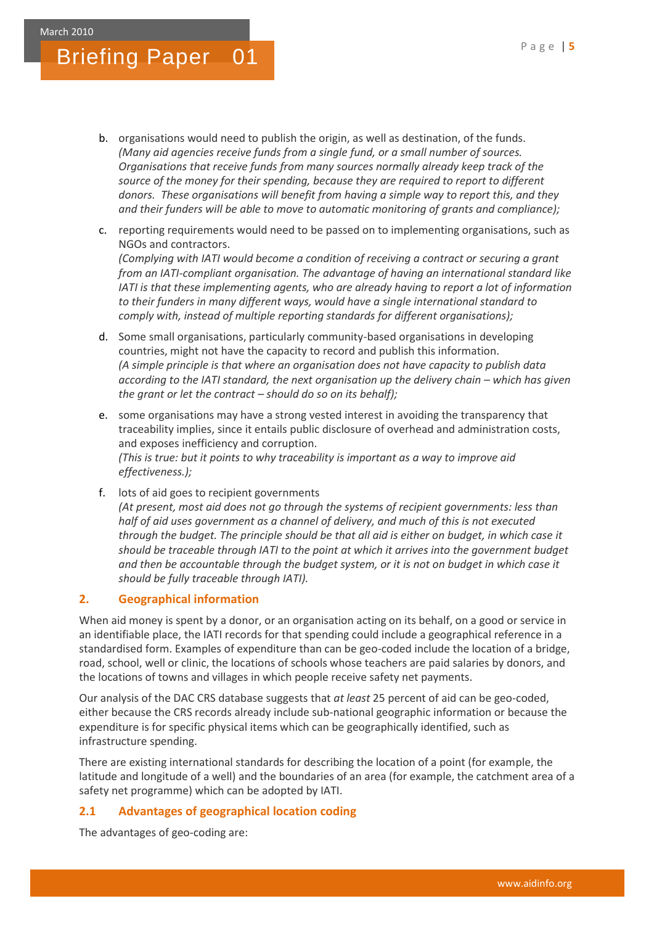- b. organisations would need to publish the origin, as well as destination, of the funds. *(Many aid agencies receive funds from a single fund, or a small number of sources. Organisations that receive funds from many sources normally already keep track of the source of the money for their spending, because they are required to report to different donors. These organisations will benefit from having a simple way to report this, and they and their funders will be able to move to automatic monitoring of grants and compliance);*
- c. reporting requirements would need to be passed on to implementing organisations, such as NGOs and contractors. *(Complying with IATI would become a condition of receiving a contract or securing a grant from an IATI-compliant organisation. The advantage of having an international standard like IATI is that these implementing agents, who are already having to report a lot of information to their funders in many different ways, would have a single international standard to comply with, instead of multiple reporting standards for different organisations);*
- d. Some small organisations, particularly community-based organisations in developing countries, might not have the capacity to record and publish this information. *(A simple principle is that where an organisation does not have capacity to publish data according to the IATI standard, the next organisation up the delivery chain – which has given the grant or let the contract – should do so on its behalf);*
- e. some organisations may have a strong vested interest in avoiding the transparency that traceability implies, since it entails public disclosure of overhead and administration costs, and exposes inefficiency and corruption. *(This is true: but it points to why traceability is important as a way to improve aid effectiveness.);*
- f. lots of aid goes to recipient governments *(At present, most aid does not go through the systems of recipient governments: less than half of aid uses government as a channel of delivery, and much of this is not executed through the budget. The principle should be that all aid is either on budget, in which case it should be traceable through IATI to the point at which it arrives into the government budget and then be accountable through the budget system, or it is not on budget in which case it should be fully traceable through IATI).*

### **2. Geographical information**

When aid money is spent by a donor, or an organisation acting on its behalf, on a good or service in an identifiable place, the IATI records for that spending could include a geographical reference in a standardised form. Examples of expenditure than can be geo-coded include the location of a bridge, road, school, well or clinic, the locations of schools whose teachers are paid salaries by donors, and the locations of towns and villages in which people receive safety net payments.

Our analysis of the DAC CRS database suggests that *at least* 25 percent of aid can be geo-coded, either because the CRS records already include sub-national geographic information or because the expenditure is for specific physical items which can be geographically identified, such as infrastructure spending.

There are existing international standards for describing the location of a point (for example, the latitude and longitude of a well) and the boundaries of an area (for example, the catchment area of a safety net programme) which can be adopted by IATI.

### **2.1 Advantages of geographical location coding**

The advantages of geo-coding are: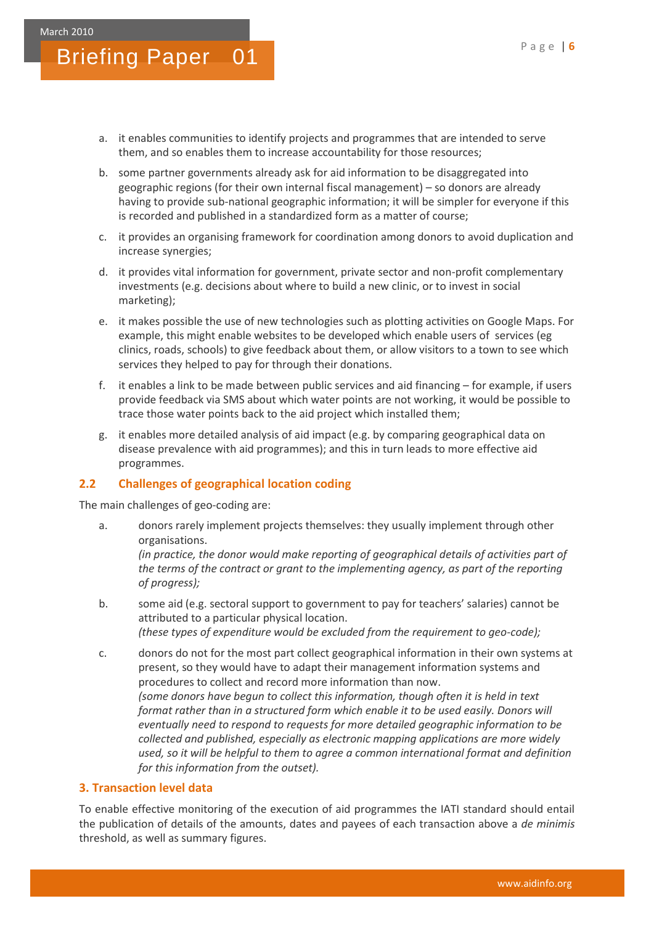- a. it enables communities to identify projects and programmes that are intended to serve them, and so enables them to increase accountability for those resources;
- b. some partner governments already ask for aid information to be disaggregated into geographic regions (for their own internal fiscal management) – so donors are already having to provide sub-national geographic information; it will be simpler for everyone if this is recorded and published in a standardized form as a matter of course;
- c. it provides an organising framework for coordination among donors to avoid duplication and increase synergies;
- d. it provides vital information for government, private sector and non-profit complementary investments (e.g. decisions about where to build a new clinic, or to invest in social marketing);
- e. it makes possible the use of new technologies such as plotting activities on Google Maps. For example, this might enable websites to be developed which enable users of services (eg clinics, roads, schools) to give feedback about them, or allow visitors to a town to see which services they helped to pay for through their donations.
- f. it enables a link to be made between public services and aid financing for example, if users provide feedback via SMS about which water points are not working, it would be possible to trace those water points back to the aid project which installed them;
- g. it enables more detailed analysis of aid impact (e.g. by comparing geographical data on disease prevalence with aid programmes); and this in turn leads to more effective aid programmes.

#### **2.2 Challenges of geographical location coding**

The main challenges of geo-coding are:

a. donors rarely implement projects themselves: they usually implement through other organisations.

*(in practice, the donor would make reporting of geographical details of activities part of the terms of the contract or grant to the implementing agency, as part of the reporting of progress);*

- b. some aid (e.g. sectoral support to government to pay for teachers' salaries) cannot be attributed to a particular physical location. *(these types of expenditure would be excluded from the requirement to geo-code);*
- c. donors do not for the most part collect geographical information in their own systems at present, so they would have to adapt their management information systems and procedures to collect and record more information than now. *(some donors have begun to collect this information, though often it is held in text format rather than in a structured form which enable it to be used easily. Donors will eventually need to respond to requests for more detailed geographic information to be collected and published, especially as electronic mapping applications are more widely used, so it will be helpful to them to agree a common international format and definition for this information from the outset).*

### **3. Transaction level data**

To enable effective monitoring of the execution of aid programmes the IATI standard should entail the publication of details of the amounts, dates and payees of each transaction above a *de minimis* threshold, as well as summary figures.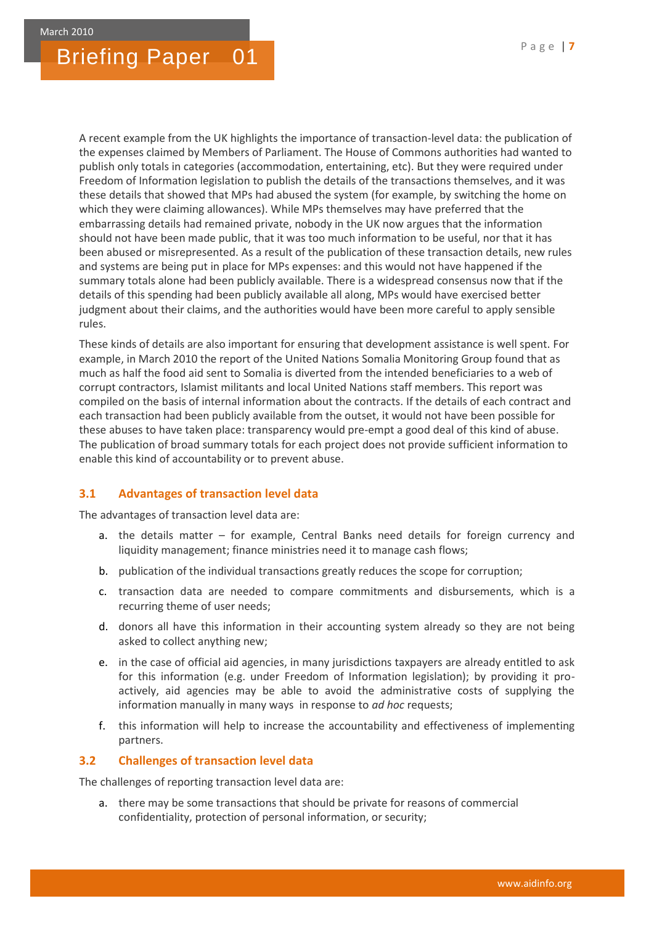A recent example from the UK highlights the importance of transaction-level data: the publication of the expenses claimed by Members of Parliament. The House of Commons authorities had wanted to publish only totals in categories (accommodation, entertaining, etc). But they were required under Freedom of Information legislation to publish the details of the transactions themselves, and it was these details that showed that MPs had abused the system (for example, by switching the home on which they were claiming allowances). While MPs themselves may have preferred that the embarrassing details had remained private, nobody in the UK now argues that the information should not have been made public, that it was too much information to be useful, nor that it has been abused or misrepresented. As a result of the publication of these transaction details, new rules and systems are being put in place for MPs expenses: and this would not have happened if the summary totals alone had been publicly available. There is a widespread consensus now that if the details of this spending had been publicly available all along, MPs would have exercised better judgment about their claims, and the authorities would have been more careful to apply sensible rules.

These kinds of details are also important for ensuring that development assistance is well spent. For example, in March 2010 the report of the United Nations Somalia Monitoring Group found that as much as half the food aid sent to Somalia is diverted from the intended beneficiaries to a web of corrupt contractors, Islamist militants and local United Nations staff members. This report was compiled on the basis of internal information about the contracts. If the details of each contract and each transaction had been publicly available from the outset, it would not have been possible for these abuses to have taken place: transparency would pre-empt a good deal of this kind of abuse. The publication of broad summary totals for each project does not provide sufficient information to enable this kind of accountability or to prevent abuse.

#### **3.1 Advantages of transaction level data**

The advantages of transaction level data are:

- a. the details matter for example, Central Banks need details for foreign currency and liquidity management; finance ministries need it to manage cash flows;
- b. publication of the individual transactions greatly reduces the scope for corruption;
- c. transaction data are needed to compare commitments and disbursements, which is a recurring theme of user needs;
- d. donors all have this information in their accounting system already so they are not being asked to collect anything new;
- e. in the case of official aid agencies, in many jurisdictions taxpayers are already entitled to ask for this information (e.g. under Freedom of Information legislation); by providing it proactively, aid agencies may be able to avoid the administrative costs of supplying the information manually in many ways in response to *ad hoc* requests;
- f. this information will help to increase the accountability and effectiveness of implementing partners.

#### **3.2 Challenges of transaction level data**

The challenges of reporting transaction level data are:

a. there may be some transactions that should be private for reasons of commercial confidentiality, protection of personal information, or security;